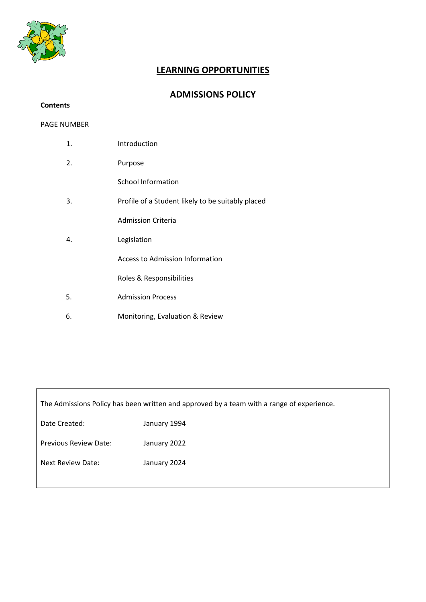

# **LEARNING OPPORTUNITIES**

## **ADMISSIONS POLICY**

### **Contents**

#### PAGE NUMBER

| 1. | Introduction                                      |
|----|---------------------------------------------------|
| 2. | Purpose                                           |
|    | School Information                                |
| 3. | Profile of a Student likely to be suitably placed |
|    | <b>Admission Criteria</b>                         |
| 4. | Legislation                                       |
|    | Access to Admission Information                   |
|    | Roles & Responsibilities                          |
| 5. | <b>Admission Process</b>                          |
| 6. | Monitoring, Evaluation & Review                   |

The Admissions Policy has been written and approved by a team with a range of experience.

| January 1994 |
|--------------|
| January 2022 |
| January 2024 |
|              |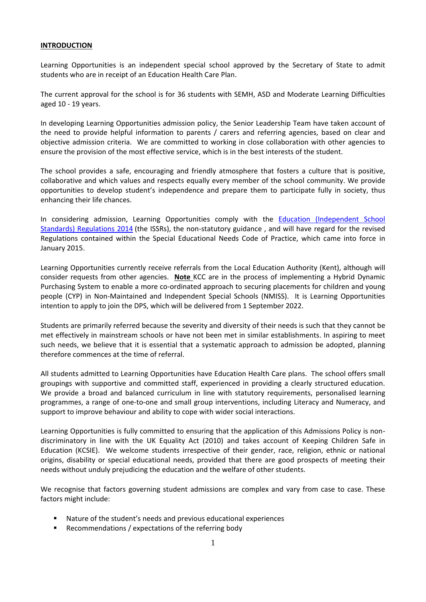#### **INTRODUCTION**

Learning Opportunities is an independent special school approved by the Secretary of State to admit students who are in receipt of an Education Health Care Plan.

The current approval for the school is for 36 students with SEMH, ASD and Moderate Learning Difficulties aged 10 - 19 years.

In developing Learning Opportunities admission policy, the Senior Leadership Team have taken account of the need to provide helpful information to parents / carers and referring agencies, based on clear and objective admission criteria. We are committed to working in close collaboration with other agencies to ensure the provision of the most effective service, which is in the best interests of the student.

The school provides a safe, encouraging and friendly atmosphere that fosters a culture that is positive, collaborative and which values and respects equally every member of the school community. We provide opportunities to develop student's independence and prepare them to participate fully in society, thus enhancing their life chances.

In considering admission, Learning Opportunities comply with the [Education \(Independent School](http://www.legislation.gov.uk/uksi/2014/3283/schedule/made)  [Standards\) Regulations 2014](http://www.legislation.gov.uk/uksi/2014/3283/schedule/made) (the ISSRs), the non-statutory guidance , and will have regard for the revised Regulations contained within the Special Educational Needs Code of Practice, which came into force in January 2015.

Learning Opportunities currently receive referrals from the Local Education Authority (Kent), although will consider requests from other agencies. **Note** KCC are in the process of implementing a Hybrid Dynamic Purchasing System to enable a more co-ordinated approach to securing placements for children and young people (CYP) in Non-Maintained and Independent Special Schools (NMISS). It is Learning Opportunities intention to apply to join the DPS, which will be delivered from 1 September 2022.

Students are primarily referred because the severity and diversity of their needs is such that they cannot be met effectively in mainstream schools or have not been met in similar establishments. In aspiring to meet such needs, we believe that it is essential that a systematic approach to admission be adopted, planning therefore commences at the time of referral.

All students admitted to Learning Opportunities have Education Health Care plans. The school offers small groupings with supportive and committed staff, experienced in providing a clearly structured education. We provide a broad and balanced curriculum in line with statutory requirements, personalised learning programmes, a range of one-to-one and small group interventions, including Literacy and Numeracy, and support to improve behaviour and ability to cope with wider social interactions.

Learning Opportunities is fully committed to ensuring that the application of this Admissions Policy is nondiscriminatory in line with the UK Equality Act (2010) and takes account of Keeping Children Safe in Education (KCSIE). We welcome students irrespective of their gender, race, religion, ethnic or national origins, disability or special educational needs, provided that there are good prospects of meeting their needs without unduly prejudicing the education and the welfare of other students.

We recognise that factors governing student admissions are complex and vary from case to case. These factors might include:

- Nature of the student's needs and previous educational experiences
- Recommendations / expectations of the referring body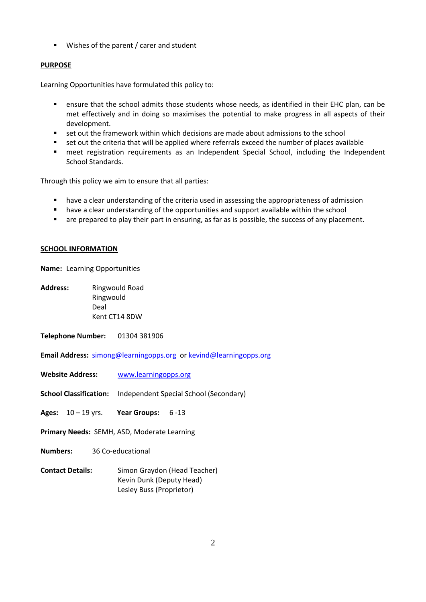■ Wishes of the parent / carer and student

#### **PURPOSE**

Learning Opportunities have formulated this policy to:

- ensure that the school admits those students whose needs, as identified in their EHC plan, can be met effectively and in doing so maximises the potential to make progress in all aspects of their development.
- set out the framework within which decisions are made about admissions to the school
- set out the criteria that will be applied where referrals exceed the number of places available
- meet registration requirements as an Independent Special School, including the Independent School Standards.

Through this policy we aim to ensure that all parties:

- have a clear understanding of the criteria used in assessing the appropriateness of admission
- have a clear understanding of the opportunities and support available within the school
- are prepared to play their part in ensuring, as far as is possible, the success of any placement.

#### **SCHOOL INFORMATION**

**Name:** Learning Opportunities

**Address:** Ringwould Road Ringwould Deal Kent CT14 8DW

**Telephone Number:** 01304 381906

**Email Address:** [simong@learningopps.org](mailto:simong@learningopps.org) o[r kevind@learningopps.org](mailto:kevind@learningopps.org)

- **Website Address:** [www.learningopps.org](http://www.learningopps.org/)
- **School Classification:** Independent Special School (Secondary)
- **Ages:** 10 19 yrs. **Year Groups:** 6 -13
- **Primary Needs:** SEMH, ASD, Moderate Learning
- **Numbers:** 36 Co-educational
- **Contact Details:** Simon Graydon (Head Teacher) Kevin Dunk (Deputy Head) Lesley Buss (Proprietor)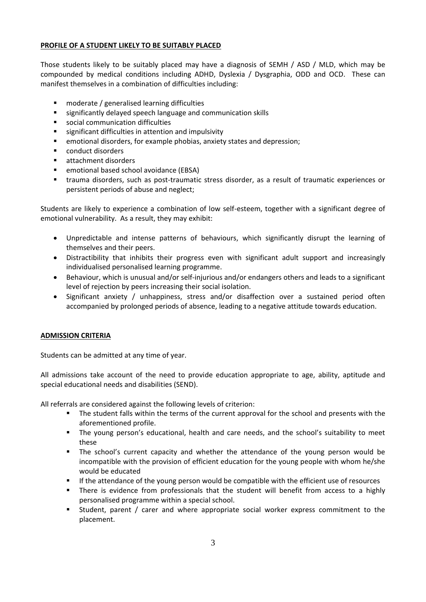#### **PROFILE OF A STUDENT LIKELY TO BE SUITABLY PLACED**

Those students likely to be suitably placed may have a diagnosis of SEMH / ASD / MLD, which may be compounded by medical conditions including ADHD, Dyslexia / Dysgraphia, ODD and OCD. These can manifest themselves in a combination of difficulties including:

- **F** moderate / generalised learning difficulties
- significantly delayed speech language and communication skills
- social communication difficulties
- significant difficulties in attention and impulsivity
- emotional disorders, for example phobias, anxiety states and depression;
- **•** conduct disorders
- attachment disorders
- emotional based school avoidance (EBSA)
- trauma disorders, such as post-traumatic stress disorder, as a result of traumatic experiences or persistent periods of abuse and neglect;

Students are likely to experience a combination of low self-esteem, together with a significant degree of emotional vulnerability. As a result, they may exhibit:

- Unpredictable and intense patterns of behaviours, which significantly disrupt the learning of themselves and their peers.
- Distractibility that inhibits their progress even with significant adult support and increasingly individualised personalised learning programme.
- Behaviour, which is unusual and/or self-injurious and/or endangers others and leads to a significant level of rejection by peers increasing their social isolation.
- Significant anxiety / unhappiness, stress and/or disaffection over a sustained period often accompanied by prolonged periods of absence, leading to a negative attitude towards education.

#### **ADMISSION CRITERIA**

Students can be admitted at any time of year.

All admissions take account of the need to provide education appropriate to age, ability, aptitude and special educational needs and disabilities (SEND).

All referrals are considered against the following levels of criterion:

- The student falls within the terms of the current approval for the school and presents with the aforementioned profile.
- The young person's educational, health and care needs, and the school's suitability to meet these
- The school's current capacity and whether the attendance of the young person would be incompatible with the provision of efficient education for the young people with whom he/she would be educated
- If the attendance of the young person would be compatible with the efficient use of resources
- There is evidence from professionals that the student will benefit from access to a highly personalised programme within a special school.
- Student, parent / carer and where appropriate social worker express commitment to the placement.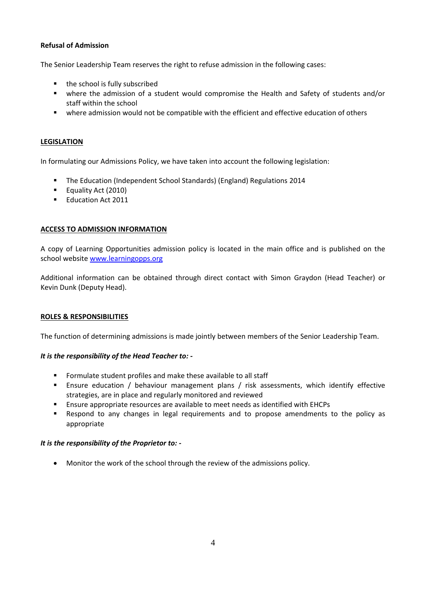#### **Refusal of Admission**

The Senior Leadership Team reserves the right to refuse admission in the following cases:

- the school is fully subscribed
- where the admission of a student would compromise the Health and Safety of students and/or staff within the school
- where admission would not be compatible with the efficient and effective education of others

#### **LEGISLATION**

In formulating our Admissions Policy, we have taken into account the following legislation:

- **The Education (Independent School Standards) (England) Regulations 2014**
- **Equality Act (2010)**
- **Education Act 2011**

#### **ACCESS TO ADMISSION INFORMATION**

A copy of Learning Opportunities admission policy is located in the main office and is published on the school websit[e www.learningopps.org](http://www.learningopps.org/)

Additional information can be obtained through direct contact with Simon Graydon (Head Teacher) or Kevin Dunk (Deputy Head).

#### **ROLES & RESPONSIBILITIES**

The function of determining admissions is made jointly between members of the Senior Leadership Team.

#### *It is the responsibility of the Head Teacher to: -*

- Formulate student profiles and make these available to all staff
- Ensure education / behaviour management plans / risk assessments, which identify effective strategies, are in place and regularly monitored and reviewed
- Ensure appropriate resources are available to meet needs as identified with EHCPs
- Respond to any changes in legal requirements and to propose amendments to the policy as appropriate

#### *It is the responsibility of the Proprietor to: -*

Monitor the work of the school through the review of the admissions policy.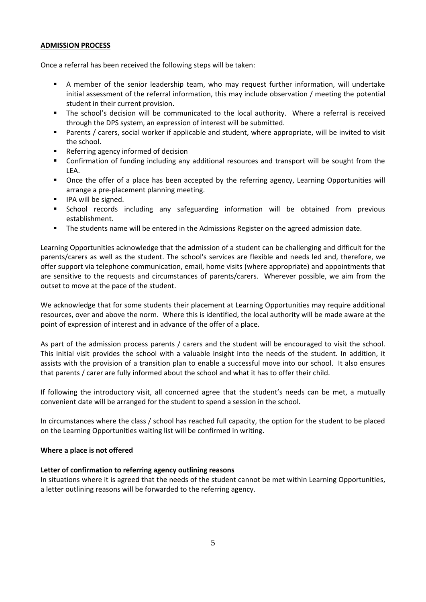#### **ADMISSION PROCESS**

Once a referral has been received the following steps will be taken:

- A member of the senior leadership team, who may request further information, will undertake initial assessment of the referral information, this may include observation / meeting the potential student in their current provision.
- The school's decision will be communicated to the local authority. Where a referral is received through the DPS system, an expression of interest will be submitted.
- Parents / carers, social worker if applicable and student, where appropriate, will be invited to visit the school.
- Referring agency informed of decision
- Confirmation of funding including any additional resources and transport will be sought from the LEA.
- Once the offer of a place has been accepted by the referring agency, Learning Opportunities will arrange a pre-placement planning meeting.
- **IFA will be signed.**
- **E** School records including any safeguarding information will be obtained from previous establishment.
- **The students name will be entered in the Admissions Register on the agreed admission date.**

Learning Opportunities acknowledge that the admission of a student can be challenging and difficult for the parents/carers as well as the student. The school's services are flexible and needs led and, therefore, we offer support via telephone communication, email, home visits (where appropriate) and appointments that are sensitive to the requests and circumstances of parents/carers. Wherever possible, we aim from the outset to move at the pace of the student.

We acknowledge that for some students their placement at Learning Opportunities may require additional resources, over and above the norm. Where this is identified, the local authority will be made aware at the point of expression of interest and in advance of the offer of a place.

As part of the admission process parents / carers and the student will be encouraged to visit the school. This initial visit provides the school with a valuable insight into the needs of the student. In addition, it assists with the provision of a transition plan to enable a successful move into our school. It also ensures that parents / carer are fully informed about the school and what it has to offer their child.

If following the introductory visit, all concerned agree that the student's needs can be met, a mutually convenient date will be arranged for the student to spend a session in the school.

In circumstances where the class / school has reached full capacity, the option for the student to be placed on the Learning Opportunities waiting list will be confirmed in writing.

#### **Where a place is not offered**

#### **Letter of confirmation to referring agency outlining reasons**

In situations where it is agreed that the needs of the student cannot be met within Learning Opportunities, a letter outlining reasons will be forwarded to the referring agency.